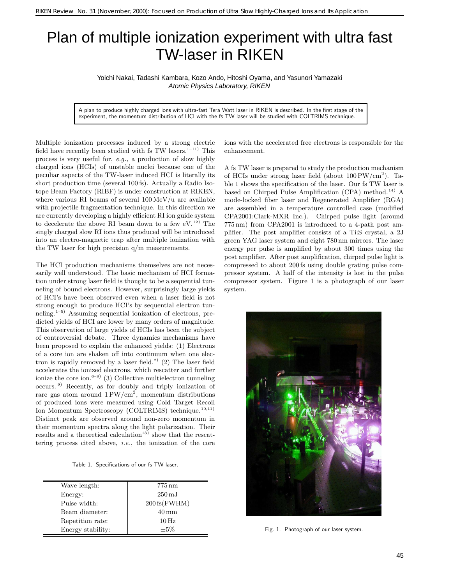## Plan of multiple ionization experiment with ultra fast TW-laser in RIKEN

Yoichi Nakai, Tadashi Kambara, Kozo Ando, Hitoshi Oyama, and Yasunori Yamazaki Atomic Physics Laboratory, RIKEN

A plan to produce highly charged ions with ultra-fast Tera Watt laser in RIKEN is described. In the first stage of the experiment, the momentum distribution of HCI with the fs TW laser will be studied with COLTRIMS technique.

Multiple ionization processes induced by a strong electric field have recently been studied with fs TW lasers.<sup>1–11)</sup> This process is very useful for, *e.g*., a production of slow highly charged ions (HCIs) of unstable nuclei because one of the peculiar aspects of the TW-laser induced HCI is literally its short production time (several 100 fs). Actually a Radio Isotope Beam Factory (RIBF) is under construction at RIKEN, where various RI beams of several 100 MeV/u are available with projectile fragmentation technique. In this direction we are currently developing a highly efficient RI ion guide system to decelerate the above RI beam down to a few  $eV^{12}$ . The singly charged slow RI ions thus produced will be introduced into an electro-magnetic trap after multiple ionization with the TW laser for high precision q/m measurements.

The HCI production mechanisms themselves are not necessarily well understood. The basic mechanism of HCI formation under strong laser field is thought to be a sequential tunneling of bound electrons. However, surprisingly large yields of HCI's have been observed even when a laser field is not strong enough to produce HCI's by sequential electron tunneling.1–5) Assuming sequential ionization of electrons, predicted yields of HCI are lower by many orders of magnitude. This observation of large yields of HCIs has been the subject of controversial debate. Three dynamics mechanisms have been proposed to explain the enhanced yields: (1) Electrons of a core ion are shaken off into continuum when one electron is rapidly removed by a laser field.<sup>2)</sup> (2) The laser field accelerates the ionized electrons, which rescatter and further ionize the core ion.<sup>6–8)</sup> (3) Collective multielectron tunneling occurs. <sup>9</sup>) Recently, as for doubly and triply ionization of rare gas atom around 1 PW/cm<sup>2</sup>, momentum distributions of produced ions were measured using Cold Target Recoil Ion Momentum Spectroscopy (COLTRIMS) technique.<sup>10,11)</sup> Distinct peak are observed around non-zero momentum in their momentum spectra along the light polarization. Their results and a theoretical calculation<sup>13)</sup> show that the rescattering process cited above, *i.e*., the ionization of the core

Table 1. Specifications of our fs TW laser.

| Wave length:      | $775 \,\mathrm{nm}$           |
|-------------------|-------------------------------|
| Energy:           | $250 \,\mathrm{mJ}$           |
| Pulse width:      | $200 \text{ fs}(\text{FWHM})$ |
| Beam diameter:    | $40 \,\mathrm{mm}$            |
| Repetition rate:  | $10\,\mathrm{Hz}$             |
| Energy stability: | $+5\%$                        |

ions with the accelerated free electrons is responsible for the enhancement.

A fs TW laser is prepared to study the production mechanism of HCIs under strong laser field (about  $100 \text{PW/cm}^2$ ). Table 1 shows the specification of the laser. Our fs TW laser is based on Chirped Pulse Amplification  $(CPA)$  method.<sup>14)</sup> A mode-locked fiber laser and Regenerated Amplifier (RGA) are assembled in a temperature controlled case (modified CPA2001:Clark-MXR Inc.). Chirped pulse light (around  $775 \,\mathrm{nm}$ ) from CPA2001 is introduced to a 4-path post amplifier. The post amplifier consists of a Ti:S crystal, a 2J green YAG laser system and eight 780 nm mirrors. The laser energy per pulse is amplified by about 300 times using the post amplifier. After post amplification, chirped pulse light is compressed to about 200 fs using double grating pulse compressor system. A half of the intensity is lost in the pulse compressor system. Figure 1 is a photograph of our laser system.



Fig. 1. Photograph of our laser system.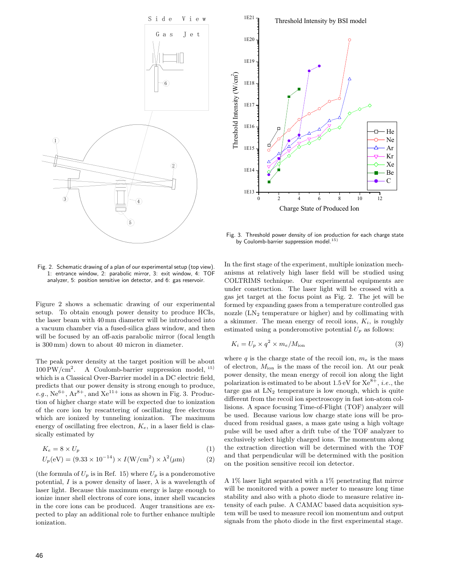



Fig. 3. Threshold power density of ion production for each charge state by Coulomb-barrier suppression model.<sup>15)</sup>

Fig. 2. Schematic drawing of a plan of our experimental setup (top view). 1: entrance window, 2: parabolic mirror, 3: exit window, 4: TOF analyzer, 5: position sensitive ion detector, and 6: gas reservoir.

Figure 2 shows a schematic drawing of our experimental setup. To obtain enough power density to produce HCIs, the laser beam with 40 mm diameter will be introduced into a vacuum chamber via a fused-silica glass window, and then will be focused by an off-axis parabolic mirror (focal length is  $300 \,\mathrm{mm}$ ) down to about 40 micron in diameter.

The peak power density at the target position will be about  $100 \text{PW/cm}^2$ . A Coulomb-barrier suppression model,  $^{15}$ which is a Classical Over-Barrier model in a DC electric field, predicts that our power density is strong enough to produce, *e.g.*,  $Ne^{6+}$ ,  $Ar^{8+}$ , and  $Xe^{11+}$  ions as shown in Fig. 3. Production of higher charge state will be expected due to ionization of the core ion by rescattering of oscillating free electrons which are ionized by tunneling ionization. The maximum energy of oscillating free electron, K*e*, in a laser field is classically estimated by

$$
K_e = 8 \times U_p \tag{1}
$$

$$
U_p(\text{eV}) = (9.33 \times 10^{-14}) \times I(\text{W/cm}^2) \times \lambda^2(\mu \text{m})
$$
 (2)

(the formula of  $U_p$  is in Ref. 15) where  $U_p$  is a ponderomotive potential, I is a power density of laser,  $\lambda$  is a wavelength of laser light. Because this maximum energy is large enough to ionize inner shell electrons of core ions, inner shell vacancies in the core ions can be produced. Auger transitions are expected to play an additional role to further enhance multiple ionization.

In the first stage of the experiment, multiple ionization mechanisms at relatively high laser field will be studied using COLTRIMS technique. Our experimental equipments are under construction. The laser light will be crossed with a gas jet target at the focus point as Fig. 2. The jet will be formed by expanding gases from a temperature controlled gas nozzle  $(LN_2)$  temperature or higher) and by collimating with a skimmer. The mean energy of recoil ions,  $K_i$ , is roughly estimated using a ponderomotive potential  $U_p$  as follows:

$$
K_i = U_p \times q^2 \times m_e / M_{\text{ion}}
$$
\n(3)

where q is the charge state of the recoil ion,  $m_e$  is the mass of electron,  $M_{\text{ion}}$  is the mass of the recoil ion. At our peak power density, the mean energy of recoil ion along the light polarization is estimated to be about  $1.5 \text{ eV}$  for  $\text{Xe}^{8+}$ , *i.e.*, the targe gas at  $LN<sub>2</sub>$  temperature is low enough, which is quite different from the recoil ion spectroscopy in fast ion-atom collisions. A space focusing Time-of-Flight (TOF) analyzer will be used. Because various low charge state ions will be produced from residual gases, a mass gate using a high voltage pulse will be used after a drift tube of the TOF analyzer to exclusively select highly charged ions. The momentum along the extraction direction will be determined with the TOF and that perpendicular will be determined with the position on the position sensitive recoil ion detector.

A 1% laser light separated with a 1% penetrating flat mirror will be monitored with a power meter to measure long time stability and also with a photo diode to measure relative intensity of each pulse. A CAMAC based data acquisition system will be used to measure recoil ion momentum and output signals from the photo diode in the first experimental stage.